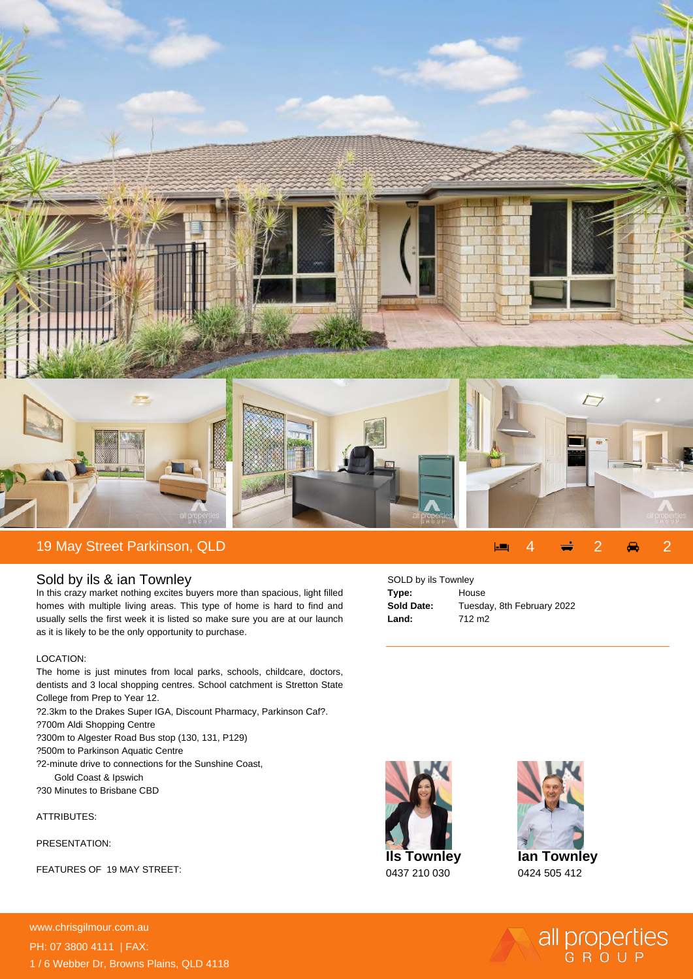

## Sold by ils & ian Townley

In this crazy market nothing excites buyers more than spacious, light filled homes with multiple living areas. This type of home is hard to find and usually sells the first week it is listed so make sure you are at our launch as it is likely to be the only opportunity to purchase.

## LOCATION:

The home is just minutes from local parks, schools, childcare, doctors, dentists and 3 local shopping centres. School catchment is Stretton State College from Prep to Year 12.

- ? 2.3km to the Drakes Super IGA, Discount Pharmacy, Parkinson Caf?.
- ? 700m Aldi Shopping Centre
- ? 300m to Algester Road Bus stop (130, 131, P129)
- ? 500m to Parkinson Aquatic Centre
- ? 2-minute drive to connections for the Sunshine Coast, Gold Coast & Ipswich
- ? 30 Minutes to Brisbane CBD

## ATTRIBUTES:

PRESENTATION:

FEATURES OF 19 MAY STREET:

| SOLD by ils Townley |                            |
|---------------------|----------------------------|
| Type:               | House                      |
| Sold Date:          | Tuesday, 8th February 2022 |
| Land:               | 712 m <sub>2</sub>         |
|                     |                            |



**Ian Townley**

0424 505 412

all properties

**For more details please visit https://www.chrisgilmour.com.au/6833855** www.chrisgilmour.com.au PH: 07 3800 4111 | FAX: 1 / 6 Webber Dr, Browns Plains, QLD 4118